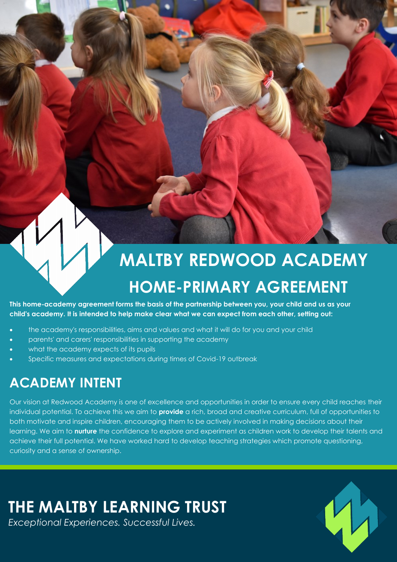# **MALTBY REDWOOD ACADEMY HOME-PRIMARY AGREEMENT**

**This home-academy agreement forms the basis of the partnership between you, your child and us as your child's academy. It is intended to help make clear what we can expect from each other, setting out:**

- the academy's responsibilities, aims and values and what it will do for you and your child
- parents' and carers' responsibilities in supporting the academy
- what the academy expects of its pupils
- Specific measures and expectations during times of Covid-19 outbreak

### **ACADEMY INTENT**

Our vision at Redwood Academy is one of excellence and opportunities in order to ensure every child reaches their individual potential. To achieve this we aim to **provide** a rich, broad and creative curriculum, full of opportunities to both motivate and inspire children, encouraging them to be actively involved in making decisions about their learning. We aim to **nurture** the confidence to explore and experiment as children work to develop their talents and achieve their full potential. We have worked hard to develop teaching strategies which promote questioning, curiosity and a sense of ownership.

## **THE MALTBY LEARNING TRUST**

*Exceptional Experiences. Successful Lives.*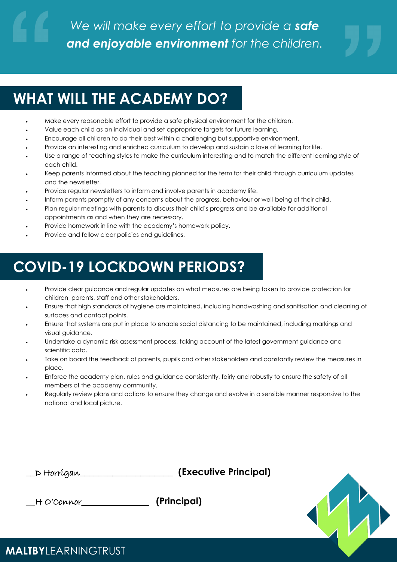## **WHAT WILL THE ACADEMY DO?**

- Make every reasonable effort to provide a safe physical environment for the children.
- Value each child as an individual and set appropriate targets for future learning.
- Encourage all children to do their best within a challenging but supportive environment.
- Provide an interesting and enriched curriculum to develop and sustain a love of learning for life.
- Use a range of teaching styles to make the curriculum interesting and to match the different learning style of each child.
- Keep parents informed about the teaching planned for the term for their child through curriculum updates and the newsletter.
- Provide regular newsletters to inform and involve parents in academy life.
- Inform parents promptly of any concerns about the progress, behaviour or well-being of their child.
- Plan regular meetings with parents to discuss their child's progress and be available for additional appointments as and when they are necessary.
- Provide homework in line with the academy's homework policy.
- Provide and follow clear policies and guidelines.

## **COVID-19 LOCKDOWN PERIODS?**

- Provide clear guidance and regular updates on what measures are being taken to provide protection for children, parents, staff and other stakeholders.
- Ensure that high standards of hygiene are maintained, including handwashing and sanitisation and cleaning of surfaces and contact points.
- Ensure that systems are put in place to enable social distancing to be maintained, including markings and visual guidance.
- Undertake a dynamic risk assessment process, taking account of the latest government guidance and scientific data.
- Take on board the feedback of parents, pupils and other stakeholders and constantly review the measures in place.
- Enforce the academy plan, rules and guidance consistently, fairly and robustly to ensure the safety of all members of the academy community.
- Regularly review plans and actions to ensure they change and evolve in a sensible manner responsive to the national and local picture.

#### **\_\_**D Horrigan**\_\_\_\_\_\_\_\_\_\_\_\_\_\_\_\_\_\_\_\_ (Executive Principal)**

**\_\_**H O'Connor\_\_\_\_\_\_\_\_\_\_\_\_\_\_\_\_\_\_ **(Principal)** 



#### **MALTBY**LEARNINGTRUST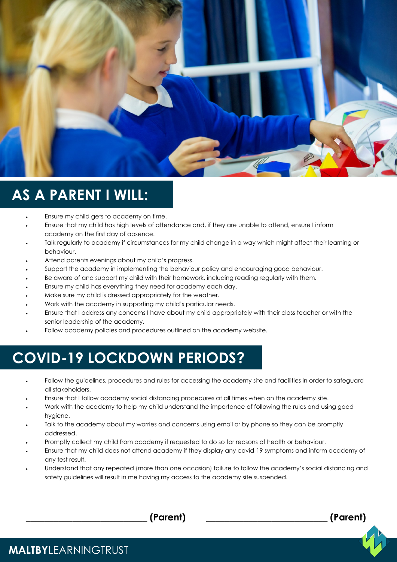

### **AS A PARENT I WILL:**

- Ensure my child gets to academy on time.
- Ensure that my child has high levels of attendance and, if they are unable to attend, ensure I inform academy on the first day of absence.
- Talk regularly to academy if circumstances for my child change in a way which might affect their learning or behaviour.
- Attend parents evenings about my child's progress.
- Support the academy in implementing the behaviour policy and encouraging good behaviour.
- Be aware of and support my child with their homework, including reading regularly with them.
- Ensure my child has everything they need for academy each day.
- Make sure my child is dressed appropriately for the weather.
- Work with the academy in supporting my child's particular needs.
- Ensure that I address any concerns I have about my child appropriately with their class teacher or with the senior leadership of the academy.
- Follow academy policies and procedures outlined on the academy website.

### **COVID-19 LOCKDOWN PERIODS?**

- Follow the guidelines, procedures and rules for accessing the academy site and facilities in order to safeguard all stakeholders.
- Ensure that I follow academy social distancing procedures at all times when on the academy site.
- Work with the academy to help my child understand the importance of following the rules and using good hygiene.
- Talk to the academy about my worries and concerns using email or by phone so they can be promptly addressed.
- Promptly collect my child from academy if requested to do so for reasons of health or behaviour.
- Ensure that my child does not attend academy if they display any covid-19 symptoms and inform academy of any test result.
- Understand that any repeated (more than one occasion) failure to follow the academy's social distancing and safety guidelines will result in me having my access to the academy site suspended.

**\_\_\_\_\_\_\_\_\_\_\_\_\_\_\_\_\_\_\_\_\_\_\_\_\_\_ (Parent) \_\_\_\_\_\_\_\_\_\_\_\_\_\_\_\_\_\_\_\_\_\_\_\_\_\_ (Parent)** 

**MALTBY**LEARNINGTRUST